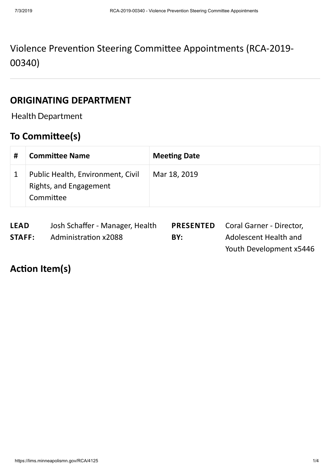# Violence Prevention Steering Committee Appointments (RCA-2019-00340)

#### **ORIGINATING DEPARTMENT**

Health Department

# **To Committee(s)**

| # | <b>Committee Name</b>                                                    | <b>Meeting Date</b> |
|---|--------------------------------------------------------------------------|---------------------|
|   | Public Health, Environment, Civil<br>Rights, and Engagement<br>Committee | Mar 18, 2019        |

| <b>LEAD</b> | Josh Schaffer - Manager, Health |     | <b>PRESENTED</b> Coral Garner - Director, |
|-------------|---------------------------------|-----|-------------------------------------------|
| STAFF:      | <b>Administration x2088</b>     | BY: | Adolescent Health and                     |
|             |                                 |     | Youth Development x5446                   |

## **Action Item(s)**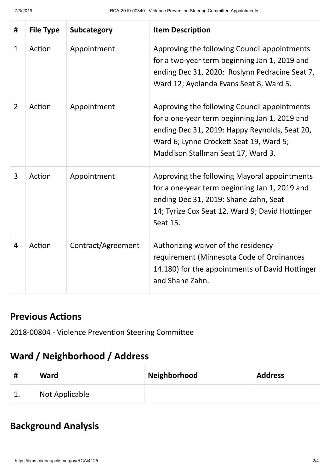| #              | <b>File Type</b> | Subcategory        | <b>Item Description</b>                                                                                                                                                                                                         |
|----------------|------------------|--------------------|---------------------------------------------------------------------------------------------------------------------------------------------------------------------------------------------------------------------------------|
| 1              | Action           | Appointment        | Approving the following Council appointments<br>for a two-year term beginning Jan 1, 2019 and<br>ending Dec 31, 2020: Roslynn Pedracine Seat 7,<br>Ward 12; Ayolanda Evans Seat 8, Ward 5.                                      |
| $\overline{2}$ | Action           | Appointment        | Approving the following Council appointments<br>for a one-year term beginning Jan 1, 2019 and<br>ending Dec 31, 2019: Happy Reynolds, Seat 20,<br>Ward 6; Lynne Crockett Seat 19, Ward 5;<br>Maddison Stallman Seat 17, Ward 3. |
| 3              | Action           | Appointment        | Approving the following Mayoral appointments<br>for a one-year term beginning Jan 1, 2019 and<br>ending Dec 31, 2019: Shane Zahn, Seat<br>14; Tyrize Cox Seat 12, Ward 9; David Hottinger<br>Seat 15.                           |
| $\overline{4}$ | Action           | Contract/Agreement | Authorizing waiver of the residency<br>requirement (Minnesota Code of Ordinances<br>14.180) for the appointments of David Hottinger<br>and Shane Zahn.                                                                          |

#### **Previous Actions**

2018-00804 - Violence Prevention Steering Committee

# **Ward / Neighborhood / Address**

| # | <b>Ward</b>    | Neighborhood | <b>Address</b> |
|---|----------------|--------------|----------------|
| ᅩ | Not Applicable |              |                |

# **Background Analysis**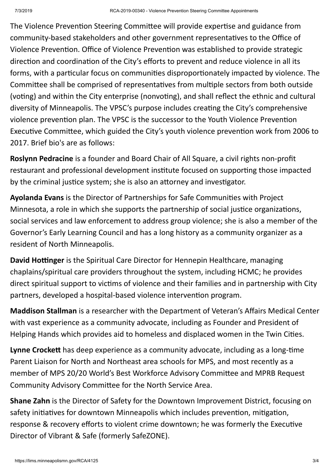The Violence Prevention Steering Committee will provide expertise and guidance from community-based stakeholders and other government representatives to the Office of Violence Prevention. Office of Violence Prevention was established to provide strategic direction and coordination of the City's efforts to prevent and reduce violence in all its forms, with a particular focus on communities disproportionately impacted by violence. The Committee shall be comprised of representatives from multiple sectors from both outside (voting) and within the City enterprise (nonvoting), and shall reflect the ethnic and cultural diversity of Minneapolis. The VPSC's purpose includes creating the City's comprehensive violence prevention plan. The VPSC is the successor to the Youth Violence Prevention Executive Committee, which guided the City's youth violence prevention work from 2006 to 2017. Brief bio's are as follows:

**Roslynn Pedracine** is a founder and Board Chair of All Square, a civil rights non-profit restaurant and professional development institute focused on supporting those impacted by the criminal justice system; she is also an attorney and investigator.

Ayolanda Evans is the Director of Partnerships for Safe Communities with Project Minnesota, a role in which she supports the partnership of social justice organizations, social services and law enforcement to address group violence; she is also a member of the Governor's Early Learning Council and has a long history as a community organizer as a resident of North Minneapolis.

**David Hottinger** is the Spiritual Care Director for Hennepin Healthcare, managing chaplains/spiritual care providers throughout the system, including HCMC; he provides direct spiritual support to victims of violence and their families and in partnership with City partners, developed a hospital-based violence intervention program.

**Maddison Stallman** is a researcher with the Department of Veteran's Affairs Medical Center with vast experience as a community advocate, including as Founder and President of Helping Hands which provides aid to homeless and displaced women in the Twin Cities.

**Lynne Crockett** has deep experience as a community advocate, including as a long-time Parent Liaison for North and Northeast area schools for MPS, and most recently as a member of MPS 20/20 World's Best Workforce Advisory Committee and MPRB Request Community Advisory Committee for the North Service Area.

**Shane Zahn** is the Director of Safety for the Downtown Improvement District, focusing on safety initiatives for downtown Minneapolis which includes prevention, mitigation, response & recovery efforts to violent crime downtown; he was formerly the Executive Director of Vibrant & Safe (formerly SafeZONE).